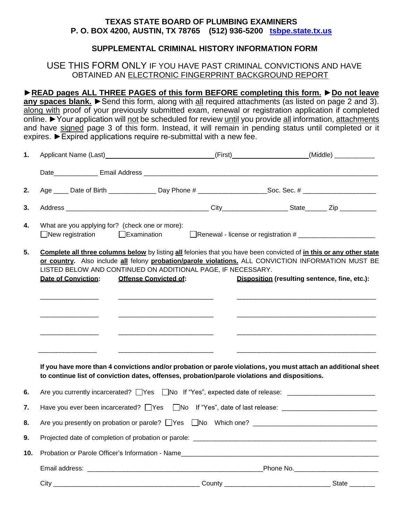#### **TEXAS STATE BOARD OF PLUMBING EXAMINERS P. O. BOX 4200, AUSTIN, TX 78765 (512) 936-5200 [tsbpe.state.tx.us](http://www.tsbpe.state.tx.us/)**

### **SUPPLEMENTAL CRIMINAL HISTORY INFORMATION FORM**

#### USE THIS FORM ONLY IF YOU HAVE PAST CRIMINAL CONVICTIONS AND HAVE OBTAINED AN ELECTRONIC FINGERPRINT BACKGROUND REPORT

**►READ pages ALL THREE PAGES of this form BEFORE completing this form.** ►**Do not leave**

**any spaces blank.** ►Send this form, along with all required attachments (as listed on page 2 and 3). along with proof of your previously submitted exam, renewal or registration application if completed online. ►Your application will not be scheduled for review until you provide all information, attachments and have signed page 3 of this form. Instead, it will remain in pending status until completed or it expires. ►Expired applications require re-submittal with a new fee.

| 1.  |                                                                                                                                                                                                                                                                                                                                                                                                           | Applicant Name (Last) _________________________________(First) _________________(Middle) ___________                                                                                                            |                                                                                                           |  |  |  |
|-----|-----------------------------------------------------------------------------------------------------------------------------------------------------------------------------------------------------------------------------------------------------------------------------------------------------------------------------------------------------------------------------------------------------------|-----------------------------------------------------------------------------------------------------------------------------------------------------------------------------------------------------------------|-----------------------------------------------------------------------------------------------------------|--|--|--|
|     |                                                                                                                                                                                                                                                                                                                                                                                                           |                                                                                                                                                                                                                 |                                                                                                           |  |  |  |
| 2.  |                                                                                                                                                                                                                                                                                                                                                                                                           |                                                                                                                                                                                                                 | Age ____ Date of Birth ______________ Day Phone # ____________________Soc. Sec. # _______________________ |  |  |  |
| 3.  |                                                                                                                                                                                                                                                                                                                                                                                                           |                                                                                                                                                                                                                 |                                                                                                           |  |  |  |
| 4.  | What are you applying for? (check one or more):<br>$\Box$ New registration                                                                                                                                                                                                                                                                                                                                | $\Box$ Examination                                                                                                                                                                                              |                                                                                                           |  |  |  |
| 5.  | Complete all three columns below by listing all felonies that you have been convicted of in this or any other state<br>or country. Also include all felony probation/parole violations. ALL CONVICTION INFORMATION MUST BE<br>LISTED BELOW AND CONTINUED ON ADDITIONAL PAGE, IF NECESSARY.<br>Disposition (resulting sentence, fine, etc.):<br><b>Date of Conviction:</b><br><b>Offense Convicted of:</b> |                                                                                                                                                                                                                 |                                                                                                           |  |  |  |
|     |                                                                                                                                                                                                                                                                                                                                                                                                           |                                                                                                                                                                                                                 |                                                                                                           |  |  |  |
|     |                                                                                                                                                                                                                                                                                                                                                                                                           |                                                                                                                                                                                                                 |                                                                                                           |  |  |  |
|     | <u> 1989 - Andrea Brand, Amerikaansk politiker (</u>                                                                                                                                                                                                                                                                                                                                                      | <u> 1989 - Johann Barn, mars et al. (b. 1989)</u>                                                                                                                                                               |                                                                                                           |  |  |  |
|     |                                                                                                                                                                                                                                                                                                                                                                                                           |                                                                                                                                                                                                                 |                                                                                                           |  |  |  |
|     |                                                                                                                                                                                                                                                                                                                                                                                                           | If you have more than 4 convictions and/or probation or parole violations, you must attach an additional sheet<br>to continue list of conviction dates, offenses, probation/parole violations and dispositions. |                                                                                                           |  |  |  |
| 6.  | Are you currently incarcerated? UYes UNo If "Yes", expected date of release: University matches                                                                                                                                                                                                                                                                                                           |                                                                                                                                                                                                                 |                                                                                                           |  |  |  |
| 7.  | Have you ever been incarcerated? UYes UNo If "Yes", date of last release: University 2011 2012                                                                                                                                                                                                                                                                                                            |                                                                                                                                                                                                                 |                                                                                                           |  |  |  |
| 8.  |                                                                                                                                                                                                                                                                                                                                                                                                           |                                                                                                                                                                                                                 |                                                                                                           |  |  |  |
| 9.  |                                                                                                                                                                                                                                                                                                                                                                                                           |                                                                                                                                                                                                                 |                                                                                                           |  |  |  |
| 10. |                                                                                                                                                                                                                                                                                                                                                                                                           |                                                                                                                                                                                                                 |                                                                                                           |  |  |  |
|     |                                                                                                                                                                                                                                                                                                                                                                                                           |                                                                                                                                                                                                                 |                                                                                                           |  |  |  |
|     |                                                                                                                                                                                                                                                                                                                                                                                                           |                                                                                                                                                                                                                 |                                                                                                           |  |  |  |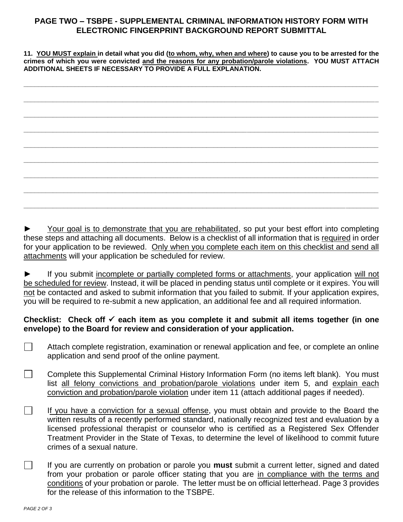# **PAGE TWO – TSBPE - SUPPLEMENTAL CRIMINAL INFORMATION HISTORY FORM WITH ELECTRONIC FINGERPRINT BACKGROUND REPORT SUBMITTAL**

**11. YOU MUST explain in detail what you did (to whom, why, when and where) to cause you to be arrested for the crimes of which you were convicted and the reasons for any probation/parole violations. YOU MUST ATTACH ADDITIONAL SHEETS IF NECESSARY TO PROVIDE A FULL EXPLANATION.**

|  | $\overline{\phantom{a}}$ |
|--|--------------------------|
|  |                          |
|  |                          |
|  |                          |
|  |                          |
|  |                          |
|  |                          |
|  |                          |
|  |                          |
|  |                          |
|  |                          |
|  |                          |
|  |                          |
|  |                          |
|  |                          |
|  |                          |
|  |                          |
|  |                          |
|  |                          |

Your goal is to demonstrate that you are rehabilitated, so put your best effort into completing these steps and attaching all documents. Below is a checklist of all information that is required in order for your application to be reviewed. Only when you complete each item on this checklist and send all attachments will your application be scheduled for review.

If you submit incomplete or partially completed forms or attachments, your application will not be scheduled for review. Instead, it will be placed in pending status until complete or it expires. You will not be contacted and asked to submit information that you failed to submit. If your application expires, you will be required to re-submit a new application, an additional fee and all required information.

## Checklist: Check off <del>√</del> each item as you complete it and submit all items together (in one **envelope) to the Board for review and consideration of your application.**

- $\Box$ Attach complete registration, examination or renewal application and fee, or complete an online application and send proof of the online payment.
- $\Box$ Complete this Supplemental Criminal History Information Form (no items left blank). You must list all felony convictions and probation/parole violations under item 5, and explain each conviction and probation/parole violation under item 11 (attach additional pages if needed).
- $\Box$ If you have a conviction for a sexual offense, you must obtain and provide to the Board the written results of a recently performed standard, nationally recognized test and evaluation by a licensed professional therapist or counselor who is certified as a Registered Sex Offender Treatment Provider in the State of Texas, to determine the level of likelihood to commit future crimes of a sexual nature.
- $\Box$ If you are currently on probation or parole you **must** submit a current letter, signed and dated from your probation or parole officer stating that you are in compliance with the terms and conditions of your probation or parole. The letter must be on official letterhead. Page 3 provides for the release of this information to the TSBPE.